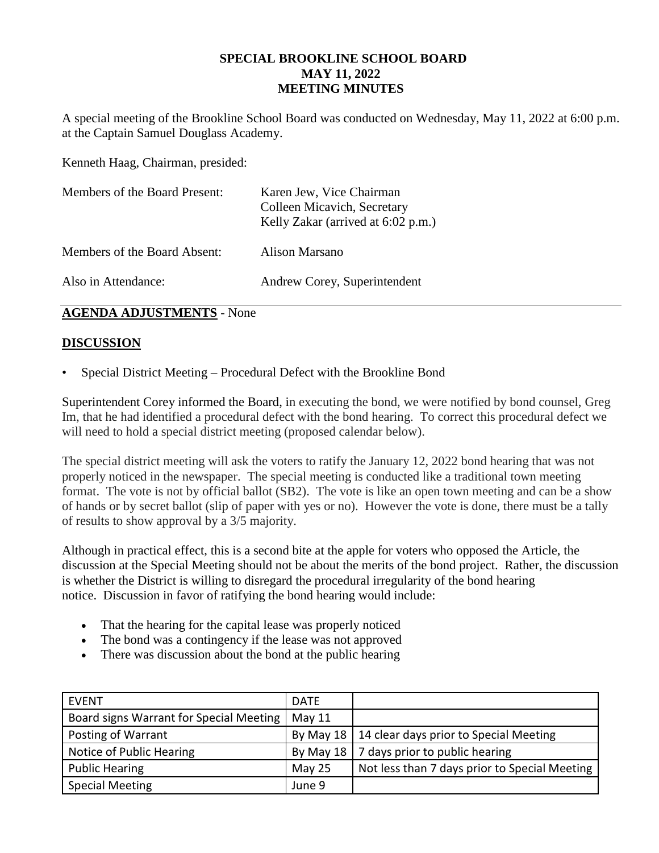## **SPECIAL BROOKLINE SCHOOL BOARD MAY 11, 2022 MEETING MINUTES**

A special meeting of the Brookline School Board was conducted on Wednesday, May 11, 2022 at 6:00 p.m. at the Captain Samuel Douglass Academy.

Kenneth Haag, Chairman, presided:

| Members of the Board Present: | Karen Jew, Vice Chairman<br>Colleen Micavich, Secretary<br>Kelly Zakar (arrived at 6:02 p.m.) |
|-------------------------------|-----------------------------------------------------------------------------------------------|
| Members of the Board Absent:  | Alison Marsano                                                                                |
| Also in Attendance:           | Andrew Corey, Superintendent                                                                  |

### **AGENDA ADJUSTMENTS** - None

# **DISCUSSION**

• Special District Meeting – Procedural Defect with the Brookline Bond

Superintendent Corey informed the Board, in executing the bond, we were notified by bond counsel, Greg Im, that he had identified a procedural defect with the bond hearing. To correct this procedural defect we will need to hold a special district meeting (proposed calendar below).

The special district meeting will ask the voters to ratify the January 12, 2022 bond hearing that was not properly noticed in the newspaper. The special meeting is conducted like a traditional town meeting format. The vote is not by official ballot (SB2). The vote is like an open town meeting and can be a show of hands or by secret ballot (slip of paper with yes or no). However the vote is done, there must be a tally of results to show approval by a 3/5 majority.

Although in practical effect, this is a second bite at the apple for voters who opposed the Article, the discussion at the Special Meeting should not be about the merits of the bond project. Rather, the discussion is whether the District is willing to disregard the procedural irregularity of the bond hearing notice. Discussion in favor of ratifying the bond hearing would include:

- That the hearing for the capital lease was properly noticed
- The bond was a contingency if the lease was not approved
- There was discussion about the bond at the public hearing

| EVENT                                   | <b>DATE</b> |                                                    |
|-----------------------------------------|-------------|----------------------------------------------------|
| Board signs Warrant for Special Meeting | May 11      |                                                    |
| Posting of Warrant                      |             | By May 18   14 clear days prior to Special Meeting |
| Notice of Public Hearing                | By May 18   | 7 days prior to public hearing                     |
| <b>Public Hearing</b>                   | May 25      | Not less than 7 days prior to Special Meeting      |
| <b>Special Meeting</b>                  | June 9      |                                                    |